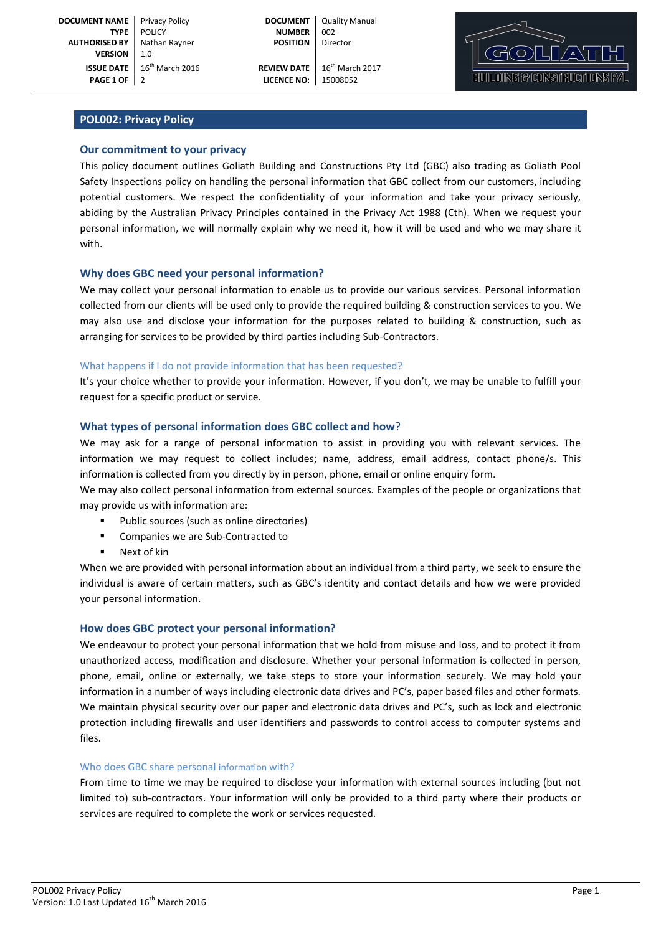**PAGE 1 OF** 2 **LICENCE NO:** 15008052



# POL002: Privacy Policy

# Our commitment to your privacy

This policy document outlines Goliath Building and Constructions Pty Ltd (GBC) also trading as Goliath Pool Safety Inspections policy on handling the personal information that GBC collect from our customers, including potential customers. We respect the confidentiality of your information and take your privacy seriously, abiding by the Australian Privacy Principles contained in the Privacy Act 1988 (Cth). When we request your personal information, we will normally explain why we need it, how it will be used and who we may share it with.

### Why does GBC need your personal information?

We may collect your personal information to enable us to provide our various services. Personal information collected from our clients will be used only to provide the required building & construction services to you. We may also use and disclose your information for the purposes related to building & construction, such as arranging for services to be provided by third parties including Sub-Contractors.

### What happens if I do not provide information that has been requested?

It's your choice whether to provide your information. However, if you don't, we may be unable to fulfill your request for a specific product or service.

### What types of personal information does GBC collect and how?

We may ask for a range of personal information to assist in providing you with relevant services. The information we may request to collect includes; name, address, email address, contact phone/s. This information is collected from you directly by in person, phone, email or online enquiry form.

We may also collect personal information from external sources. Examples of the people or organizations that may provide us with information are:

- Public sources (such as online directories)
- Companies we are Sub-Contracted to
- Next of kin

When we are provided with personal information about an individual from a third party, we seek to ensure the individual is aware of certain matters, such as GBC's identity and contact details and how we were provided your personal information.

### How does GBC protect your personal information?

We endeavour to protect your personal information that we hold from misuse and loss, and to protect it from unauthorized access, modification and disclosure. Whether your personal information is collected in person, phone, email, online or externally, we take steps to store your information securely. We may hold your information in a number of ways including electronic data drives and PC's, paper based files and other formats. We maintain physical security over our paper and electronic data drives and PC's, such as lock and electronic protection including firewalls and user identifiers and passwords to control access to computer systems and files.

### Who does GBC share personal information with?

From time to time we may be required to disclose your information with external sources including (but not limited to) sub-contractors. Your information will only be provided to a third party where their products or services are required to complete the work or services requested.